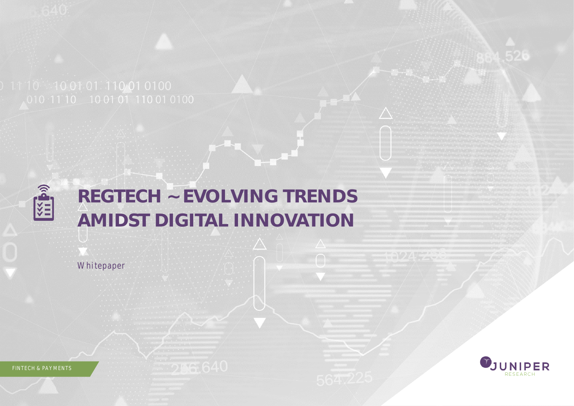

# **REGTECH ~ EVOLVING TRENDS AMIDST DIGITAL INNOVATION**

Whitepaper

UNIPER

FINTECH & PAYMENTS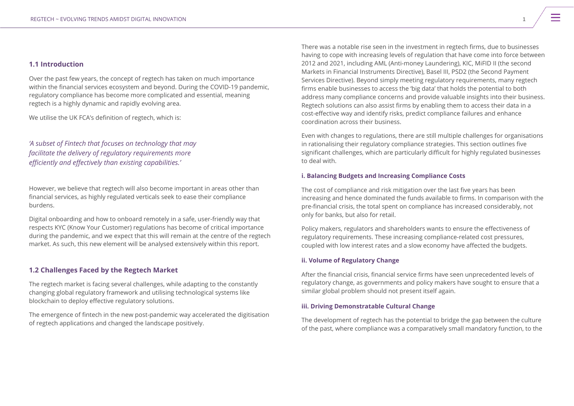# **1.1 Introduction**

Over the past few years, the concept of regtech has taken on much importance within the financial services ecosystem and beyond. During the COVID-19 pandemic, regulatory compliance has become more complicated and essential, meaning regtech is a highly dynamic and rapidly evolving area.

We utilise the UK FCA's definition of regtech, which is:

# *'A subset of Fintech that focuses on technology that may facilitate the delivery of regulatory requirements more efficiently and effectively than existing capabilities.'*

However, we believe that regtech will also become important in areas other than financial services, as highly regulated verticals seek to ease their compliance burdens.

Digital onboarding and how to onboard remotely in a safe, user-friendly way that respects KYC (Know Your Customer) regulations has become of critical importance during the pandemic, and we expect that this will remain at the centre of the regtech market. As such, this new element will be analysed extensively within this report.

# **1.2 Challenges Faced by the Regtech Market**

The regtech market is facing several challenges, while adapting to the constantly changing global regulatory framework and utilising technological systems like blockchain to deploy effective regulatory solutions.

The emergence of fintech in the new post-pandemic way accelerated the digitisation of regtech applications and changed the landscape positively.

There was a notable rise seen in the investment in regtech firms, due to businesses having to cope with increasing levels of regulation that have come into force between 2012 and 2021, including AML (Anti-money Laundering), KIC, MiFID II (the second Markets in Financial Instruments Directive), Basel III, PSD2 (the Second Payment Services Directive). Beyond simply meeting regulatory requirements, many regtech firms enable businesses to access the 'big data' that holds the potential to both address many compliance concerns and provide valuable insights into their business. Regtech solutions can also assist firms by enabling them to access their data in a cost-effective way and identify risks, predict compliance failures and enhance coordination across their business.

Even with changes to regulations, there are still multiple challenges for organisations in rationalising their regulatory compliance strategies. This section outlines five significant challenges, which are particularly difficult for highly regulated businesses to deal with.

# **i. Balancing Budgets and Increasing Compliance Costs**

The cost of compliance and risk mitigation over the last five years has been increasing and hence dominated the funds available to firms. In comparison with the pre-financial crisis, the total spent on compliance has increased considerably, not only for banks, but also for retail.

Policy makers, regulators and shareholders wants to ensure the effectiveness of regulatory requirements. These increasing compliance-related cost pressures, coupled with low interest rates and a slow economy have affected the budgets.

# **ii. Volume of Regulatory Change**

After the financial crisis, financial service firms have seen unprecedented levels of regulatory change, as governments and policy makers have sought to ensure that a similar global problem should not present itself again.

# **iii. Driving Demonstratable Cultural Change**

The development of regtech has the potential to bridge the gap between the culture of the past, where compliance was a comparatively small mandatory function, to the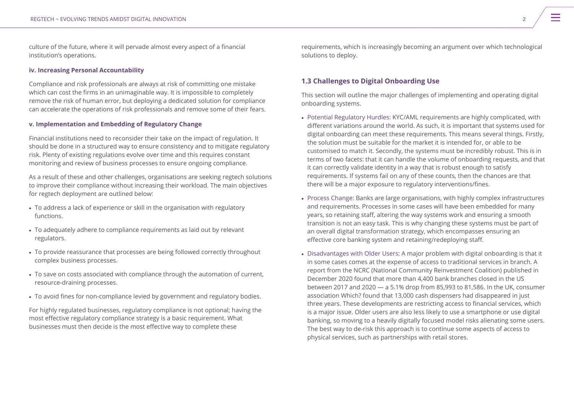culture of the future, where it will pervade almost every aspect of a financial institution's operations.

### **iv. Increasing Personal Accountability**

Compliance and risk professionals are always at risk of committing one mistake which can cost the firms in an unimaginable way. It is impossible to completely remove the risk of human error, but deploying a dedicated solution for compliance can accelerate the operations of risk professionals and remove some of their fears.

## **v. Implementation and Embedding of Regulatory Change**

Financial institutions need to reconsider their take on the impact of regulation. It should be done in a structured way to ensure consistency and to mitigate regulatory risk. Plenty of existing regulations evolve over time and this requires constant monitoring and review of business processes to ensure ongoing compliance.

As a result of these and other challenges, organisations are seeking regtech solutions to improve their compliance without increasing their workload. The main objectives for regtech deployment are outlined below:

- To address a lack of experience or skill in the organisation with regulatory functions.
- To adequately adhere to compliance requirements as laid out by relevant regulators.
- To provide reassurance that processes are being followed correctly throughout complex business processes.
- To save on costs associated with compliance through the automation of current, resource-draining processes.
- To avoid fines for non-compliance levied by government and regulatory bodies.

For highly regulated businesses, regulatory compliance is not optional; having the most effective regulatory compliance strategy is a basic requirement. What businesses must then decide is the most effective way to complete these

requirements, which is increasingly becoming an argument over which technological solutions to deploy.

# **1.3 Challenges to Digital Onboarding Use**

This section will outline the major challenges of implementing and operating digital onboarding systems.

- Potential Regulatory Hurdles: KYC/AML requirements are highly complicated, with different variations around the world. As such, it is important that systems used for digital onboarding can meet these requirements. This means several things. Firstly, the solution must be suitable for the market it is intended for, or able to be customised to match it. Secondly, the systems must be incredibly robust. This is in terms of two facets: that it can handle the volume of onboarding requests, and that it can correctly validate identity in a way that is robust enough to satisfy requirements. If systems fail on any of these counts, then the chances are that there will be a major exposure to regulatory interventions/fines.
- Process Change: Banks are large organisations, with highly complex infrastructures and requirements. Processes in some cases will have been embedded for many years, so retaining staff, altering the way systems work and ensuring a smooth transition is not an easy task. This is why changing these systems must be part of an overall digital transformation strategy, which encompasses ensuring an effective core banking system and retaining/redeploying staff.
- Disadvantages with Older Users: A major problem with digital onboarding is that it in some cases comes at the expense of access to traditional services in branch. A report from the NCRC (National Community Reinvestment Coalition) published in December 2020 found that more than 4,400 bank branches closed in the US between 2017 and 2020 — a 5.1% drop from 85,993 to 81,586. In the UK, consumer association Which? found that 13,000 cash dispensers had disappeared in just three years. These developments are restricting access to financial services, which is a major issue. Older users are also less likely to use a smartphone or use digital banking, so moving to a heavily digitally focused model risks alienating some users. The best way to de-risk this approach is to continue some aspects of access to physical services, such as partnerships with retail stores.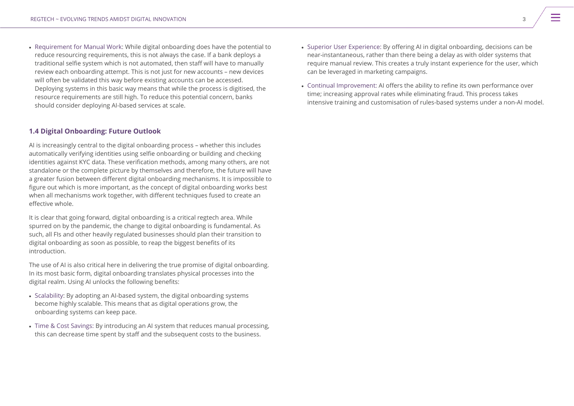• Requirement for Manual Work: While digital onboarding does have the potential to reduce resourcing requirements, this is not always the case. If a bank deploys a traditional selfie system which is not automated, then staff will have to manually review each onboarding attempt. This is not just for new accounts – new devices will often be validated this way before existing accounts can be accessed. Deploying systems in this basic way means that while the process is digitised, the resource requirements are still high. To reduce this potential concern, banks should consider deploying AI-based services at scale.

# **1.4 Digital Onboarding: Future Outlook**

AI is increasingly central to the digital onboarding process – whether this includes automatically verifying identities using selfie onboarding or building and checking identities against KYC data. These verification methods, among many others, are not standalone or the complete picture by themselves and therefore, the future will have a greater fusion between different digital onboarding mechanisms. It is impossible to figure out which is more important, as the concept of digital onboarding works best when all mechanisms work together, with different techniques fused to create an effective whole.

It is clear that going forward, digital onboarding is a critical regtech area. While spurred on by the pandemic, the change to digital onboarding is fundamental. As such, all FIs and other heavily regulated businesses should plan their transition to digital onboarding as soon as possible, to reap the biggest benefits of its introduction.

The use of AI is also critical here in delivering the true promise of digital onboarding. In its most basic form, digital onboarding translates physical processes into the digital realm. Using AI unlocks the following benefits:

- Scalability: By adopting an AI-based system, the digital onboarding systems become highly scalable. This means that as digital operations grow, the onboarding systems can keep pace.
- Time & Cost Savings: By introducing an AI system that reduces manual processing, this can decrease time spent by staff and the subsequent costs to the business.
- Superior User Experience: By offering AI in digital onboarding, decisions can be near-instantaneous, rather than there being a delay as with older systems that require manual review. This creates a truly instant experience for the user, which can be leveraged in marketing campaigns.
- Continual Improvement: AI offers the ability to refine its own performance over time; increasing approval rates while eliminating fraud. This process takes intensive training and customisation of rules-based systems under a non-AI model.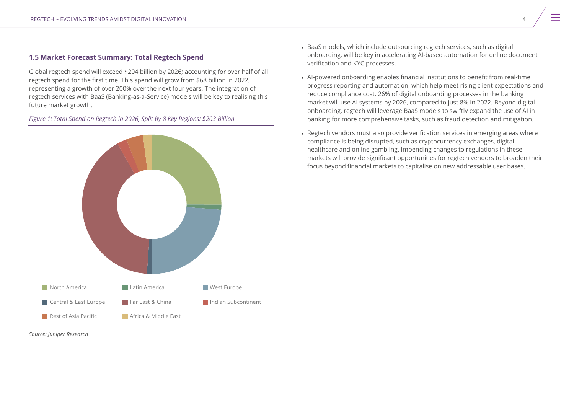# **1.5 Market Forecast Summary: Total Regtech Spend**

Global regtech spend will exceed \$204 billion by 2026; accounting for over half of all regtech spend for the first time. This spend will grow from \$68 billion in 2022; representing a growth of over 200% over the next four years. The integration of regtech services with BaaS (Banking-as-a-Service) models will be key to realising this future market growth.

*Figure 1: Total Spend on Regtech in 2026, Split by 8 Key Regions: \$203 Billion*





- BaaS models, which include outsourcing regtech services, such as digital onboarding, will be key in accelerating AI-based automation for online document verification and KYC processes.
- AI-powered onboarding enables financial institutions to benefit from real-time progress reporting and automation, which help meet rising client expectations and reduce compliance cost. 26% of digital onboarding processes in the banking market will use AI systems by 2026, compared to just 8% in 2022. Beyond digital onboarding, regtech will leverage BaaS models to swiftly expand the use of AI in banking for more comprehensive tasks, such as fraud detection and mitigation.
- Regtech vendors must also provide verification services in emerging areas where compliance is being disrupted, such as cryptocurrency exchanges, digital healthcare and online gambling. Impending changes to regulations in these markets will provide significant opportunities for regtech vendors to broaden their focus beyond financial markets to capitalise on new addressable user bases.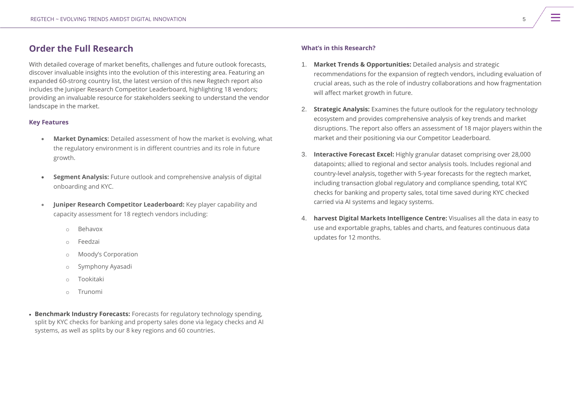# **Order the Full Research**

With detailed coverage of market benefits, challenges and future outlook forecasts, discover invaluable insights into the evolution of this interesting area. Featuring an expanded 60-strong country list, the latest version of this new Regtech report also includes the Juniper Research Competitor Leaderboard, highlighting 18 vendors; providing an invaluable resource for stakeholders seeking to understand the vendor landscape in the market.

# **Key Features**

- **Market Dynamics:** Detailed assessment of how the market is evolving, what the regulatory environment is in different countries and its role in future growth.
- **Segment Analysis:** Future outlook and comprehensive analysis of digital onboarding and KYC.
- **Juniper Research Competitor Leaderboard:** Key player capability and capacity assessment for 18 regtech vendors including:
	- **Behavox**
	- o Feedzai
	- o Moody's Corporation
	- o Symphony Ayasadi
	- o Tookitaki
	- $\circ$  Trunomi
- **Benchmark Industry Forecasts:** Forecasts for regulatory technology spending, split by KYC checks for banking and property sales done via legacy checks and AI systems, as well as splits by our 8 key regions and 60 countries.

# **What's in this Research?**

- 1. **Market Trends & Opportunities:** Detailed analysis and strategic recommendations for the expansion of regtech vendors, including evaluation of crucial areas, such as the role of industry collaborations and how fragmentation will affect market growth in future.
- 2. **Strategic Analysis:** Examines the future outlook for the regulatory technology ecosystem and provides comprehensive analysis of key trends and market disruptions. The report also offers an assessment of 18 major players within the market and their positioning via our Competitor Leaderboard.
- 3. **Interactive Forecast Excel:** Highly granular dataset comprising over 28,000 datapoints; allied to regional and sector analysis tools. Includes regional and country-level analysis, together with 5-year forecasts for the regtech market, including transaction global regulatory and compliance spending, total KYC checks for banking and property sales, total time saved during KYC checked carried via AI systems and legacy systems.
- 4. **harvest Digital Markets Intelligence Centre:** Visualises all the data in easy to use and exportable graphs, tables and charts, and features continuous data updates for 12 months.